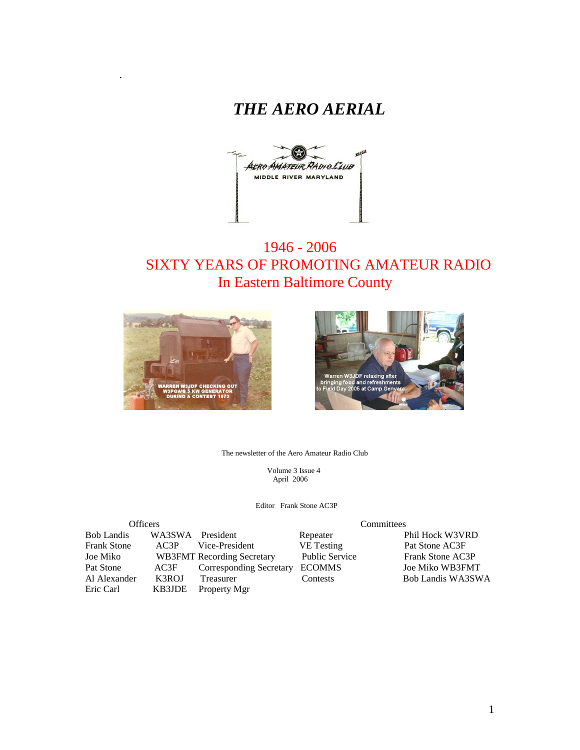



# 1946 - 2006 SIXTY YEARS OF PROMOTING AMATEUR RADIO In Eastern Baltimore County



.



The newsletter of the Aero Amateur Radio Club

 Volume 3 Issue 4 April 2006

Editor Frank Stone AC3P

| <b>Officers</b>    |                  | Committees                        |                       |                   |  |
|--------------------|------------------|-----------------------------------|-----------------------|-------------------|--|
| <b>Bob Landis</b>  | WA3SWA President |                                   | Repeater              | Phil Hock W3VRD   |  |
| <b>Frank Stone</b> | AC3P             | Vice-President                    | <b>VE</b> Testing     | Pat Stone AC3F    |  |
| Joe Miko           |                  | <b>WB3FMT</b> Recording Secretary | <b>Public Service</b> | Frank Stone AC3P  |  |
| Pat Stone          | AC3F             | <b>Corresponding Secretary</b>    | <b>ECOMMS</b>         | Joe Miko WB3FMT   |  |
| Al Alexander       | K3ROJ            | Treasurer                         | Contests              | Bob Landis WA3SWA |  |
| Eric Carl          | KB3JDE           | Property Mgr                      |                       |                   |  |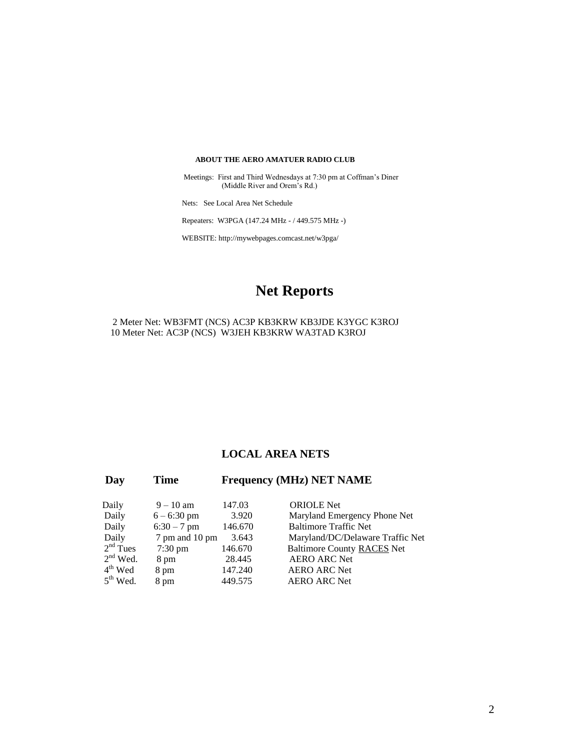#### **ABOUT THE AERO AMATUER RADIO CLUB**

 Meetings: First and Third Wednesdays at 7:30 pm at Coffman's Diner (Middle River and Orem's Rd.)

Nets: See Local Area Net Schedule

Repeaters: W3PGA (147.24 MHz - / 449.575 MHz -)

WEBSITE: http://mywebpages.comcast.net/w3pga/

# **Net Reports**

2 Meter Net: WB3FMT (NCS) AC3P KB3KRW KB3JDE K3YGC K3ROJ 10 Meter Net: AC3P (NCS) W3JEH KB3KRW WA3TAD K3ROJ

#### **LOCAL AREA NETS**

| Day        | <b>Time</b>       | <b>Frequency (MHz) NET NAME</b> |                                   |  |
|------------|-------------------|---------------------------------|-----------------------------------|--|
| Daily      | $9 - 10$ am       | 147.03                          | <b>ORIOLE</b> Net                 |  |
| Daily      | $6 - 6:30$ pm     | 3.920                           | Maryland Emergency Phone Net      |  |
| Daily      | $6:30 - 7$ pm     | 146.670                         | <b>Baltimore Traffic Net</b>      |  |
| Daily      | 7 pm and 10 pm    | 3.643                           | Maryland/DC/Delaware Traffic Net  |  |
| $2nd$ Tues | $7:30 \text{ pm}$ | 146.670                         | <b>Baltimore County RACES Net</b> |  |
| $2nd$ Wed. | 8 pm              | 28.445                          | <b>AERO ARC Net</b>               |  |
| $4th$ Wed  | 8 pm              | 147.240                         | <b>AERO ARC Net</b>               |  |
| $5th$ Wed. | 8 pm              | 449.575                         | <b>AERO ARC Net</b>               |  |
|            |                   |                                 |                                   |  |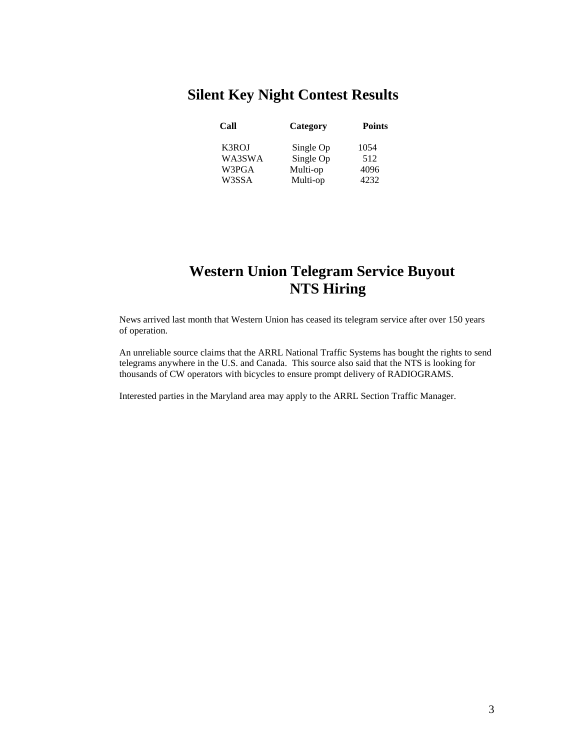# **Silent Key Night Contest Results**

| Call            | Category              | <b>Points</b> |  |
|-----------------|-----------------------|---------------|--|
| K3ROJ           | Single Op             | 1054          |  |
| WA3SWA<br>W3PGA | Single Op<br>Multi-op | 512<br>4096   |  |
| W3SSA           | Multi-op              | 4232          |  |

# **Western Union Telegram Service Buyout NTS Hiring**

News arrived last month that Western Union has ceased its telegram service after over 150 years of operation.

An unreliable source claims that the ARRL National Traffic Systems has bought the rights to send telegrams anywhere in the U.S. and Canada. This source also said that the NTS is looking for thousands of CW operators with bicycles to ensure prompt delivery of RADIOGRAMS.

Interested parties in the Maryland area may apply to the ARRL Section Traffic Manager.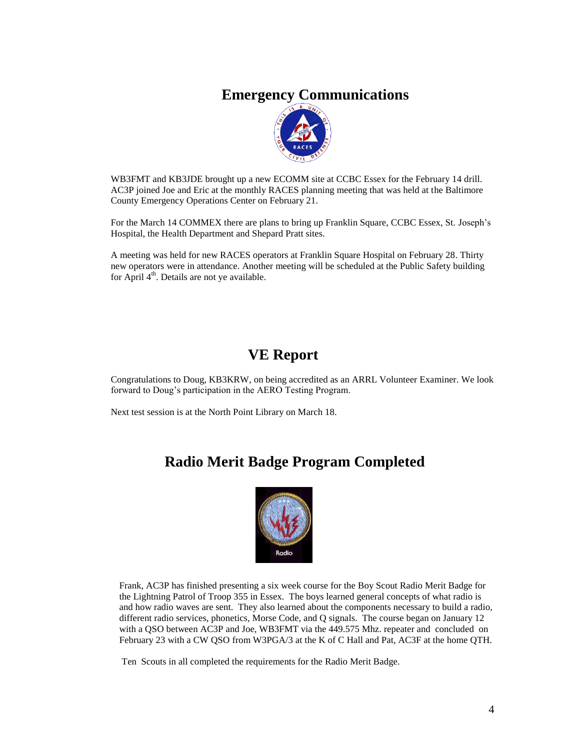## **Emergency Communications**



WB3FMT and KB3JDE brought up a new ECOMM site at CCBC Essex for the February 14 drill. AC3P joined Joe and Eric at the monthly RACES planning meeting that was held at the Baltimore County Emergency Operations Center on February 21.

For the March 14 COMMEX there are plans to bring up Franklin Square, CCBC Essex, St. Joseph's Hospital, the Health Department and Shepard Pratt sites.

A meeting was held for new RACES operators at Franklin Square Hospital on February 28. Thirty new operators were in attendance. Another meeting will be scheduled at the Public Safety building for April  $4<sup>th</sup>$ . Details are not ye available.

# **VE Report**

Congratulations to Doug, KB3KRW, on being accredited as an ARRL Volunteer Examiner. We look forward to Doug's participation in the AERO Testing Program.

Next test session is at the North Point Library on March 18.

## **Radio Merit Badge Program Completed**



Frank, AC3P has finished presenting a six week course for the Boy Scout Radio Merit Badge for the Lightning Patrol of Troop 355 in Essex. The boys learned general concepts of what radio is and how radio waves are sent. They also learned about the components necessary to build a radio, different radio services, phonetics, Morse Code, and Q signals. The course began on January 12 with a QSO between AC3P and Joe, WB3FMT via the 449.575 Mhz. repeater and concluded on February 23 with a CW QSO from W3PGA/3 at the K of C Hall and Pat, AC3F at the home QTH.

Ten Scouts in all completed the requirements for the Radio Merit Badge.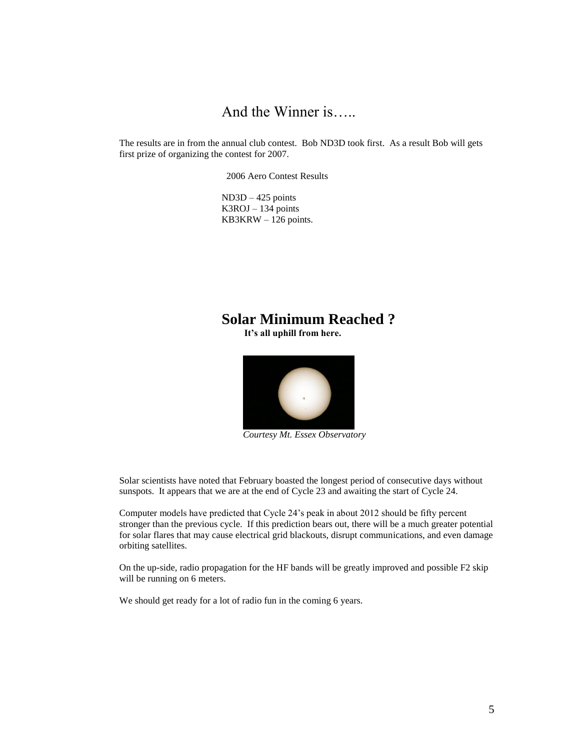# And the Winner is…..

The results are in from the annual club contest. Bob ND3D took first. As a result Bob will gets first prize of organizing the contest for 2007.

2006 Aero Contest Results

ND3D – 425 points K3ROJ – 134 points  $KB3KRW - 126$  points.

### **Solar Minimum Reached ? It's all uphill from here.**



 *Courtesy Mt. Essex Observatory*

Solar scientists have noted that February boasted the longest period of consecutive days without sunspots. It appears that we are at the end of Cycle 23 and awaiting the start of Cycle 24.

Computer models have predicted that Cycle 24's peak in about 2012 should be fifty percent stronger than the previous cycle. If this prediction bears out, there will be a much greater potential for solar flares that may cause electrical grid blackouts, disrupt communications, and even damage orbiting satellites.

On the up-side, radio propagation for the HF bands will be greatly improved and possible F2 skip will be running on 6 meters.

We should get ready for a lot of radio fun in the coming 6 years.